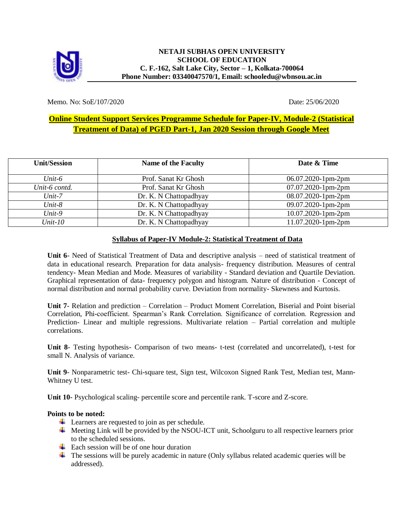

Memo. No: SoE/107/2020 Date: 25/06/2020

## **Online Student Support Services Programme Schedule for Paper-IV, Module-2 (Statistical Treatment of Data) of PGED Part-1, Jan 2020 Session through Google Meet**

| <b>Unit/Session</b> | <b>Name of the Faculty</b> | Date & Time              |
|---------------------|----------------------------|--------------------------|
| Unit- $6$           | Prof. Sanat Kr Ghosh       | $06.07.2020 - 1$ pm-2 pm |
| Unit-6 contd.       | Prof. Sanat Kr Ghosh       | $07.07.2020 - 1$ pm-2 pm |
| $Unit-7$            | Dr. K. N Chattopadhyay     | 08.07.2020-1pm-2pm       |
| $Unit-8$            | Dr. K. N Chattopadhyay     | 09.07.2020-1pm-2pm       |
| $Unit-9$            | Dr. K. N Chattopadhyay     | $10.07.2020 - 1$ pm-2pm  |
| $Unit-10$           | Dr. K. N Chattopadhyay     | $11.07.2020 - 1$ pm-2pm  |

## **Syllabus of Paper-IV Module-2: Statistical Treatment of Data**

**Unit 6**- Need of Statistical Treatment of Data and descriptive analysis – need of statistical treatment of data in educational research. Preparation for data analysis- frequency distribution. Measures of central tendency- Mean Median and Mode. Measures of variability - Standard deviation and Quartile Deviation. Graphical representation of data- frequency polygon and histogram. Nature of distribution - Concept of normal distribution and normal probability curve. Deviation from normality- Skewness and Kurtosis.

**Unit 7**- Relation and prediction – Correlation – Product Moment Correlation, Biserial and Point biserial Correlation, Phi-coefficient. Spearman's Rank Correlation. Significance of correlation. Regression and Prediction- Linear and multiple regressions. Multivariate relation – Partial correlation and multiple correlations.

**Unit 8**- Testing hypothesis- Comparison of two means- t-test (correlated and uncorrelated), t-test for small N. Analysis of variance.

**Unit 9**- Nonparametric test- Chi-square test, Sign test, Wilcoxon Signed Rank Test, Median test, Mann-Whitney U test.

**Unit 10**- Psychological scaling- percentile score and percentile rank. T-score and Z-score.

## **Points to be noted:**

- $\overline{\phantom{a}}$  Learners are requested to join as per schedule.
- $\overline{\phantom{a}}$  Meeting Link will be provided by the NSOU-ICT unit, Schoolguru to all respective learners prior to the scheduled sessions.
- $\overline{\phantom{a}}$  Each session will be of one hour duration
- The sessions will be purely academic in nature (Only syllabus related academic queries will be addressed).